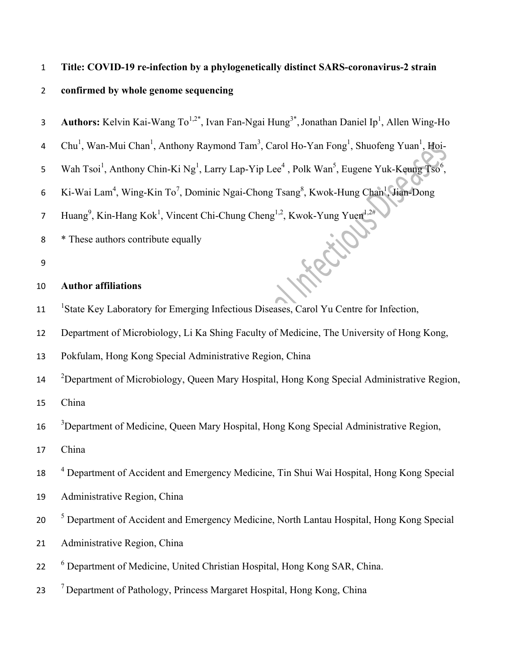### 1 **Title: COVID-19 re-infection by a phylogenetically distinct SARS-coronavirus-2 strain**

# 2 **confirmed by whole genome sequencing**

**Authors:** Kelvin Kai-Wang To<sup>1,2\*</sup>, Ivan Fan-Ngai Hung<sup>3\*</sup>, Jonathan Daniel Ip<sup>1</sup>, Allen Wing-Ho

4 Chu<sup>1</sup>, Wan-Mui Chan<sup>1</sup>, Anthony Raymond Tam<sup>3</sup>, Carol Ho-Yan Fong<sup>1</sup>, Shuofeng Yuan<sup>1</sup>, Hoi-

- 5 Wah Tsoi<sup>1</sup>, Anthony Chin-Ki Ng<sup>1</sup>, Larry Lap-Yip Lee<sup>4</sup>, Polk Wan<sup>5</sup>, Eugene Yuk-Keung Tso<sup>6</sup>,
- 6 Ki-Wai Lam<sup>4</sup>, Wing-Kin To<sup>7</sup>, Dominic Ngai-Chong Tsang<sup>8</sup>, Kwok-Hung Chan<sup>1</sup>, Jian-Dong

7 Huang<sup>9</sup>, Kin-Hang Kok<sup>1</sup>, Vincent Chi-Chung Cheng<sup>1,2</sup>, Kwok-Yung Yuen<sup>1,2#</sup>

- 8 \* These authors contribute equally
- 9

# 10 **Author affiliations**

<sup>1</sup> 15tate Key Laboratory for Emerging Infectious Diseases, Carol Yu Centre for Infection,

12 Department of Microbiology, Li Ka Shing Faculty of Medicine, The University of Hong Kong,

13 Pokfulam, Hong Kong Special Administrative Region, China

 $14$  <sup>2</sup> Department of Microbiology, Queen Mary Hospital, Hong Kong Special Administrative Region,

15 China

<sup>3</sup> Department of Medicine, Queen Mary Hospital, Hong Kong Special Administrative Region,

17 China

- <sup>4</sup> Department of Accident and Emergency Medicine, Tin Shui Wai Hospital, Hong Kong Special
- 19 Administrative Region, China
- <sup>5</sup> Department of Accident and Emergency Medicine, North Lantau Hospital, Hong Kong Special
- 21 Administrative Region, China
- <sup>6</sup> Department of Medicine, United Christian Hospital, Hong Kong SAR, China.
- <sup>7</sup> Department of Pathology, Princess Margaret Hospital, Hong Kong, China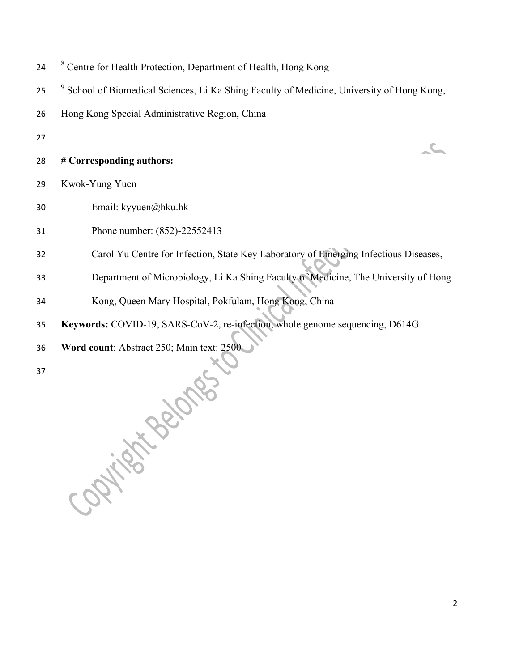- <sup>8</sup> Centre for Health Protection, Department of Health, Hong Kong
- <sup>9</sup> School of Biomedical Sciences, Li Ka Shing Faculty of Medicine, University of Hong Kong,
- Hong Kong Special Administrative Region, China
- 
- **# Corresponding authors:**
- Kwok-Yung Yuen
- Email: kyyuen@hku.hk
- Phone number: (852)-22552413
- Carol Yu Centre for Infection, State Key Laboratory of Emerging Infectious Diseases,
- Department of Microbiology, Li Ka Shing Faculty of Medicine, The University of Hong
- Kong, Queen Mary Hospital, Pokfulam, Hong Kong, China
- **Keywords:** COVID-19, SARS-CoV-2, re-infection, whole genome sequencing, D614G
- **Word count**: Abstract 250; Main text: 2500

Catildate Branch

 $\mathcal{L}_{\mathcal{L}}$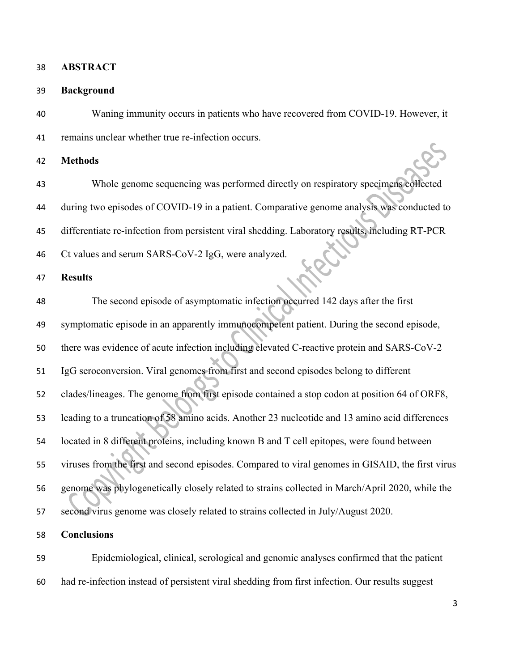| 38 | <b>ABSTRACT</b> |
|----|-----------------|
|----|-----------------|

### **Background**

Waning immunity occurs in patients who have recovered from COVID-19. However, it

remains unclear whether true re-infection occurs.

**Methods** 

Whole genome sequencing was performed directly on respiratory specimens collected

44 during two episodes of COVID-19 in a patient. Comparative genome analysis was conducted to

45 differentiate re-infection from persistent viral shedding. Laboratory results, including RT-PCR

Ct values and serum SARS-CoV-2 IgG, were analyzed.

**Results** 

48 The second episode of asymptomatic infection occurred 142 days after the first

49 symptomatic episode in an apparently immunocompetent patient. During the second episode,

50 there was evidence of acute infection including elevated C-reactive protein and SARS-CoV-2

IgG seroconversion. Viral genomes from first and second episodes belong to different

clades/lineages. The genome from first episode contained a stop codon at position 64 of ORF8,

- leading to a truncation of 58 amino acids. Another 23 nucleotide and 13 amino acid differences
- located in 8 different proteins, including known B and T cell epitopes, were found between
- viruses from the first and second episodes. Compared to viral genomes in GISAID, the first virus
- 56 genome was phylogenetically closely related to strains collected in March/April 2020, while the
- second virus genome was closely related to strains collected in July/August 2020.

**Conclusions** 

- Epidemiological, clinical, serological and genomic analyses confirmed that the patient
- had re-infection instead of persistent viral shedding from first infection. Our results suggest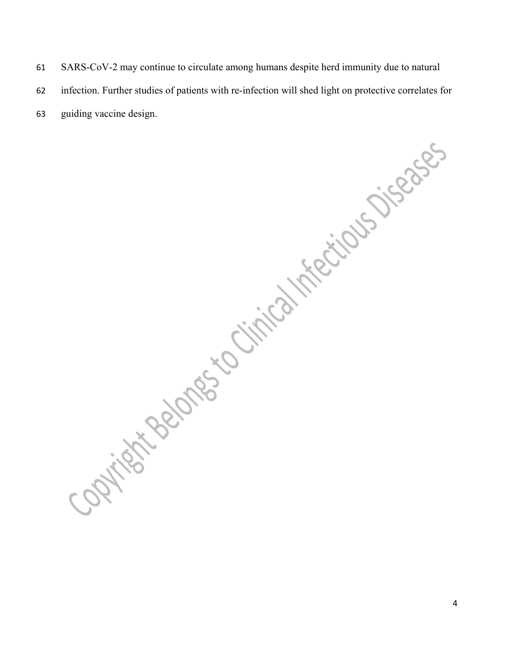- 61 SARS-CoV-2 may continue to circulate among humans despite herd immunity due to natural
- 62 infection. Further studies of patients with re-infection will shed light on protective correlates for
- 63 guiding vaccine design.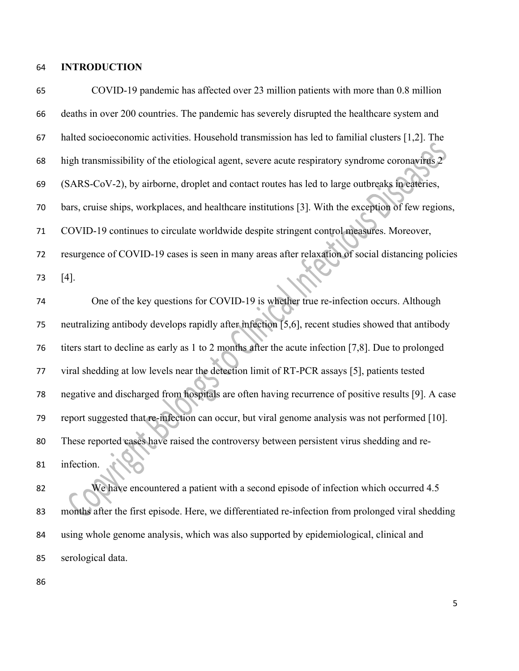# **INTRODUCTION**

| 65 | COVID-19 pandemic has affected over 23 million patients with more than 0.8 million                  |
|----|-----------------------------------------------------------------------------------------------------|
| 66 | deaths in over 200 countries. The pandemic has severely disrupted the healthcare system and         |
| 67 | halted socioeconomic activities. Household transmission has led to familial clusters [1,2]. The     |
| 68 | high transmissibility of the etiological agent, severe acute respiratory syndrome coronavirus 2     |
| 69 | (SARS-CoV-2), by airborne, droplet and contact routes has led to large outbreaks in eateries,       |
| 70 | bars, cruise ships, workplaces, and healthcare institutions [3]. With the exception of few regions, |
| 71 | COVID-19 continues to circulate worldwide despite stringent control measures. Moreover,             |
| 72 | resurgence of COVID-19 cases is seen in many areas after relaxation of social distancing policies   |
| 73 | $[4]$ .                                                                                             |
| 74 | One of the key questions for COVID-19 is whether true re-infection occurs. Although                 |
| 75 | neutralizing antibody develops rapidly after infection [5,6], recent studies showed that antibody   |
| 76 | titers start to decline as early as 1 to 2 months after the acute infection [7,8]. Due to prolonged |
| 77 | viral shedding at low levels near the detection limit of RT-PCR assays [5], patients tested         |
| 78 | negative and discharged from hospitals are often having recurrence of positive results [9]. A case  |
| 79 | report suggested that re-infection can occur, but viral genome analysis was not performed [10].     |
| 80 | These reported cases have raised the <b>controversy between persistent virus shedding and re-</b>   |
| 81 | infection.                                                                                          |
| 82 | We have encountered a patient with a second episode of infection which occurred 4.5                 |
| 83 | months after the first episode. Here, we differentiated re-infection from prolonged viral shedding  |
| 84 | using whole genome analysis, which was also supported by epidemiological, clinical and              |

- serological data.
-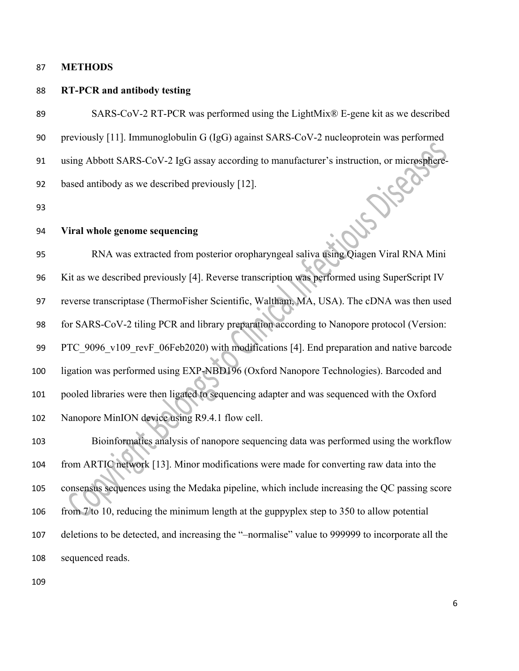### **METHODS**

### **RT-PCR and antibody testing**

 SARS-CoV-2 RT-PCR was performed using the LightMix® E-gene kit as we described previously [11]. Immunoglobulin G (IgG) against SARS-CoV-2 nucleoprotein was performed 91 using Abbott SARS-CoV-2 IgG assay according to manufacturer's instruction, or microsphere-<br>
92 based antibody as we described previously [12].<br>
93 Viral whole genome based antibody as we described previously [12].

## **Viral whole genome sequencing**

 RNA was extracted from posterior oropharyngeal saliva using Qiagen Viral RNA Mini Kit as we described previously [4]. Reverse transcription was performed using SuperScript IV reverse transcriptase (ThermoFisher Scientific, Waltham, MA, USA). The cDNA was then used for SARS-CoV-2 tiling PCR and library preparation according to Nanopore protocol (Version: 99 PTC 9096 v109 revF 06Feb2020) with modifications [4]. End preparation and native barcode ligation was performed using EXP-NBD196 (Oxford Nanopore Technologies). Barcoded and pooled libraries were then ligated to sequencing adapter and was sequenced with the Oxford Nanopore MinION device using R9.4.1 flow cell.

 Bioinformatics analysis of nanopore sequencing data was performed using the workflow from ARTIC network [13]. Minor modifications were made for converting raw data into the consensus sequences using the Medaka pipeline, which include increasing the QC passing score from 7 to 10, reducing the minimum length at the guppyplex step to 350 to allow potential deletions to be detected, and increasing the "–normalise" value to 999999 to incorporate all the sequenced reads.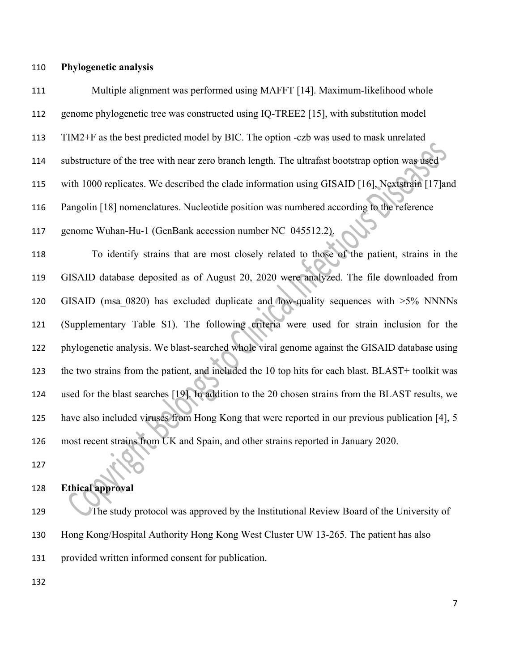**Phylogenetic analysis** 

 Multiple alignment was performed using MAFFT [14]. Maximum-likelihood whole genome phylogenetic tree was constructed using IQ-TREE2 [15], with substitution model TIM2+F as the best predicted model by BIC. The option -czb was used to mask unrelated substructure of the tree with near zero branch length. The ultrafast bootstrap option was used with 1000 replicates. We described the clade information using GISAID [16], Nextstrain [17]and Pangolin [18] nomenclatures. Nucleotide position was numbered according to the reference genome Wuhan-Hu-1 (GenBank accession number NC\_045512.2). To identify strains that are most closely related to those of the patient, strains in the GISAID database deposited as of August 20, 2020 were analyzed. The file downloaded from GISAID (msa\_0820) has excluded duplicate and low-quality sequences with >5% NNNNs (Supplementary Table S1). The following criteria were used for strain inclusion for the phylogenetic analysis. We blast-searched whole viral genome against the GISAID database using the two strains from the patient, and included the 10 top hits for each blast. BLAST+ toolkit was used for the blast searches [19]. In addition to the 20 chosen strains from the BLAST results, we have also included viruses from Hong Kong that were reported in our previous publication [4], 5 most recent strains from UK and Spain, and other strains reported in January 2020.

# **Ethical approval**

129 The study protocol was approved by the Institutional Review Board of the University of Hong Kong/Hospital Authority Hong Kong West Cluster UW 13-265. The patient has also provided written informed consent for publication.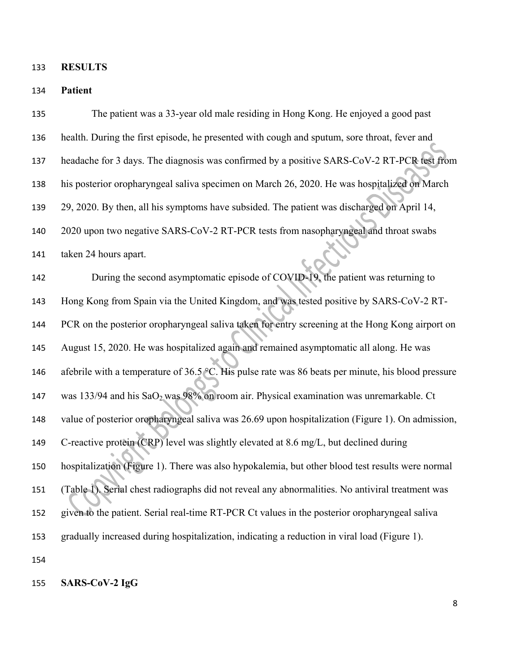**RESULTS** 

**Patient** 

| 135 | The patient was a 33-year old male residing in Hong Kong. He enjoyed a good past                   |
|-----|----------------------------------------------------------------------------------------------------|
| 136 | health. During the first episode, he presented with cough and sputum, sore throat, fever and       |
| 137 | headache for 3 days. The diagnosis was confirmed by a positive SARS-CoV-2 RT-PCR test from         |
| 138 | his posterior oropharyngeal saliva specimen on March 26, 2020. He was hospitalized on March        |
| 139 | 29, 2020. By then, all his symptoms have subsided. The patient was discharged on April 14,         |
| 140 | 2020 upon two negative SARS-CoV-2 RT-PCR tests from nasopharyngeal and throat swabs                |
| 141 | taken 24 hours apart.                                                                              |
| 142 | During the second asymptomatic episode of COVID-19, the patient was returning to                   |
| 143 | Hong Kong from Spain via the United Kingdom, and was tested positive by SARS-CoV-2 RT-             |
| 144 | PCR on the posterior oropharyngeal saliva taken for entry screening at the Hong Kong airport on    |
| 145 | August 15, 2020. He was hospitalized again and remained asymptomatic all along. He was             |
| 146 | afebrile with a temperature of 36.5 °C. His pulse rate was 86 beats per minute, his blood pressure |
| 147 | was 133/94 and his SaO <sub>2</sub> was 98% on room air. Physical examination was unremarkable. Ct |
| 148 | value of posterior oropharyngeal saliva was 26.69 upon hospitalization (Figure 1). On admission,   |
| 149 | C-reactive protein (CRP) level was slightly elevated at 8.6 mg/L, but declined during              |
| 150 | hospitalization (Figure 1). There was also hypokalemia, but other blood test results were normal   |
| 151 | (Table 1). Serial chest radiographs did not reveal any abnormalities. No antiviral treatment was   |
| 152 | given to the patient. Serial real-time RT-PCR Ct values in the posterior oropharyngeal saliva      |
| 153 | gradually increased during hospitalization, indicating a reduction in viral load (Figure 1).       |
| 154 |                                                                                                    |

# **SARS-CoV-2 IgG**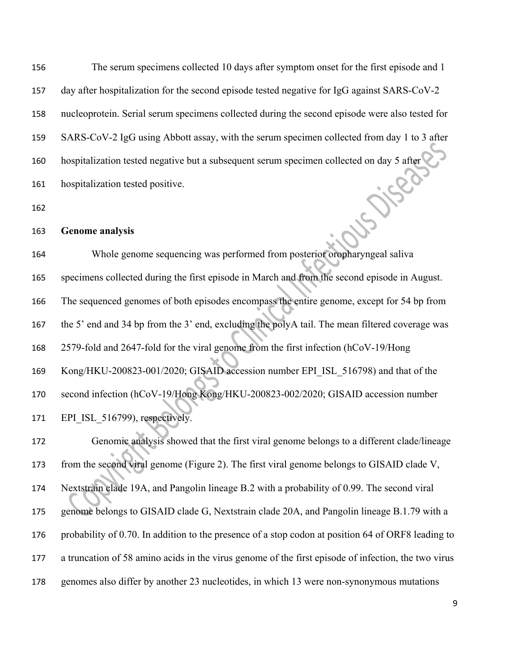The serum specimens collected 10 days after symptom onset for the first episode and 1 day after hospitalization for the second episode tested negative for IgG against SARS-CoV-2 nucleoprotein. Serial serum specimens collected during the second episode were also tested for SARS-CoV-2 IgG using Abbott assay, with the serum specimen collected from day 1 to 3 after hospitalization tested negative but a subsequent serum specimen collected on day 5 after hospitalization tested positive.

### **Genome analysis**

 Whole genome sequencing was performed from posterior oropharyngeal saliva specimens collected during the first episode in March and from the second episode in August. The sequenced genomes of both episodes encompass the entire genome, except for 54 bp from the 5' end and 34 bp from the 3' end, excluding the polyA tail. The mean filtered coverage was 2579-fold and 2647-fold for the viral genome from the first infection (hCoV-19/Hong Kong/HKU-200823-001/2020; GISAID accession number EPI\_ISL\_516798) and that of the second infection (hCoV-19/Hong Kong/HKU-200823-002/2020; GISAID accession number 171 EPI ISL 516799), respectively.

 Genomic analysis showed that the first viral genome belongs to a different clade/lineage 173 from the second viral genome (Figure 2). The first viral genome belongs to GISAID clade V, Nextstrain clade 19A, and Pangolin lineage B.2 with a probability of 0.99. The second viral genome belongs to GISAID clade G, Nextstrain clade 20A, and Pangolin lineage B.1.79 with a probability of 0.70. In addition to the presence of a stop codon at position 64 of ORF8 leading to a truncation of 58 amino acids in the virus genome of the first episode of infection, the two virus genomes also differ by another 23 nucleotides, in which 13 were non-synonymous mutations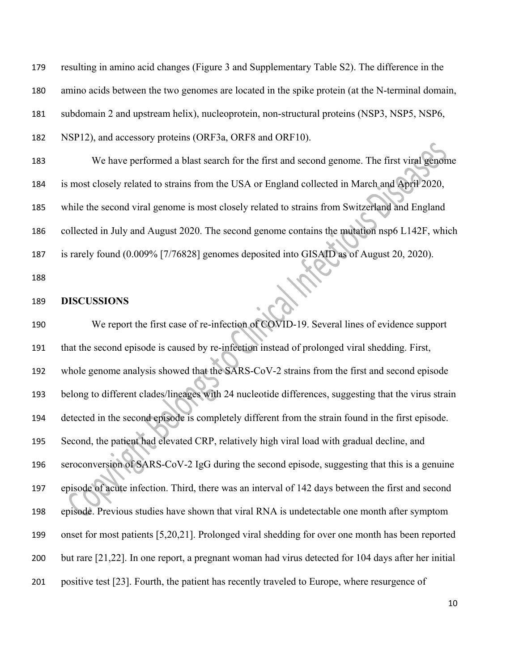resulting in amino acid changes (Figure 3 and Supplementary Table S2). The difference in the amino acids between the two genomes are located in the spike protein (at the N-terminal domain, subdomain 2 and upstream helix), nucleoprotein, non-structural proteins (NSP3, NSP5, NSP6,

NSP12), and accessory proteins (ORF3a, ORF8 and ORF10).

 We have performed a blast search for the first and second genome. The first viral genome is most closely related to strains from the USA or England collected in March and April 2020, while the second viral genome is most closely related to strains from Switzerland and England collected in July and August 2020. The second genome contains the mutation nsp6 L142F, which is rarely found (0.009% [7/76828] genomes deposited into GISAID as of August 20, 2020).

#### **DISCUSSIONS**

 We report the first case of re-infection of COVID-19. Several lines of evidence support that the second episode is caused by re-infection instead of prolonged viral shedding. First, whole genome analysis showed that the SARS-CoV-2 strains from the first and second episode belong to different clades/lineages with 24 nucleotide differences, suggesting that the virus strain detected in the second episode is completely different from the strain found in the first episode. Second, the patient had elevated CRP, relatively high viral load with gradual decline, and seroconversion of SARS-CoV-2 IgG during the second episode, suggesting that this is a genuine episode of acute infection. Third, there was an interval of 142 days between the first and second episode. Previous studies have shown that viral RNA is undetectable one month after symptom onset for most patients [5,20,21]. Prolonged viral shedding for over one month has been reported but rare [21,22]. In one report, a pregnant woman had virus detected for 104 days after her initial positive test [23]. Fourth, the patient has recently traveled to Europe, where resurgence of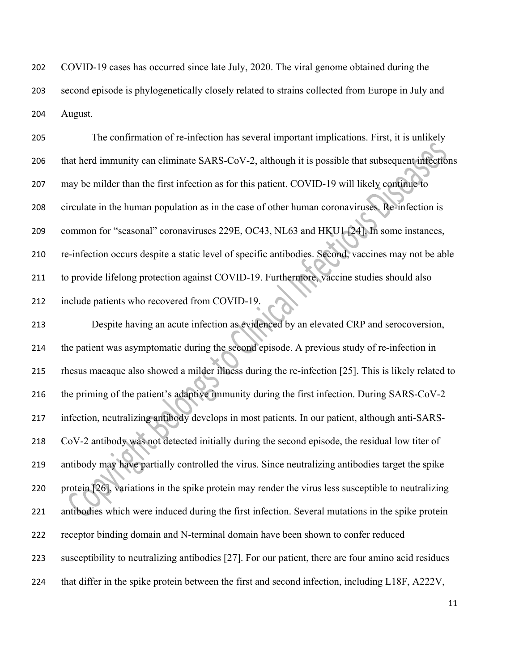COVID-19 cases has occurred since late July, 2020. The viral genome obtained during the second episode is phylogenetically closely related to strains collected from Europe in July and August.

 The confirmation of re-infection has several important implications. First, it is unlikely that herd immunity can eliminate SARS-CoV-2, although it is possible that subsequent infections may be milder than the first infection as for this patient. COVID-19 will likely continue to circulate in the human population as in the case of other human coronaviruses. Re-infection is common for "seasonal" coronaviruses 229E, OC43, NL63 and HKU1 [24]. In some instances, re-infection occurs despite a static level of specific antibodies. Second, vaccines may not be able to provide lifelong protection against COVID-19. Furthermore, vaccine studies should also include patients who recovered from COVID-19.

 Despite having an acute infection as evidenced by an elevated CRP and serocoversion, the patient was asymptomatic during the second episode. A previous study of re-infection in rhesus macaque also showed a milder illness during the re-infection [25]. This is likely related to the priming of the patient's adaptive immunity during the first infection. During SARS-CoV-2 infection, neutralizing antibody develops in most patients. In our patient, although anti-SARS- CoV-2 antibody was not detected initially during the second episode, the residual low titer of antibody may have partially controlled the virus. Since neutralizing antibodies target the spike protein [26], variations in the spike protein may render the virus less susceptible to neutralizing antibodies which were induced during the first infection. Several mutations in the spike protein receptor binding domain and N-terminal domain have been shown to confer reduced susceptibility to neutralizing antibodies [27]. For our patient, there are four amino acid residues that differ in the spike protein between the first and second infection, including L18F, A222V,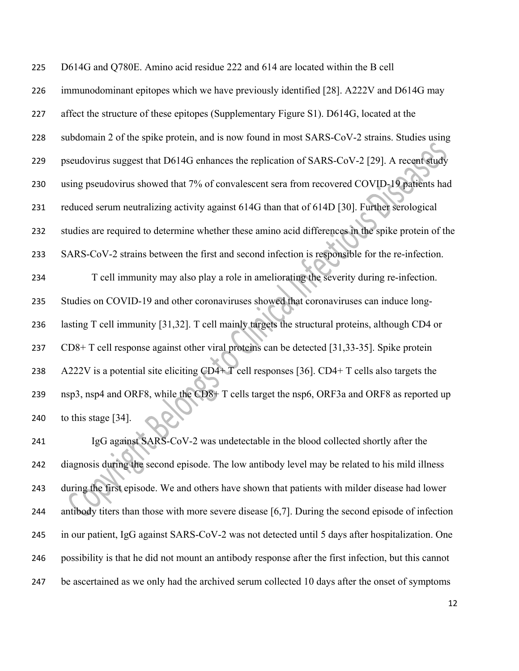D614G and Q780E. Amino acid residue 222 and 614 are located within the B cell immunodominant epitopes which we have previously identified [28]. A222V and D614G may affect the structure of these epitopes (Supplementary Figure S1). D614G, located at the subdomain 2 of the spike protein, and is now found in most SARS-CoV-2 strains. Studies using pseudovirus suggest that D614G enhances the replication of SARS-CoV-2 [29]. A recent study using pseudovirus showed that 7% of convalescent sera from recovered COVID-19 patients had reduced serum neutralizing activity against 614G than that of 614D [30]. Further serological studies are required to determine whether these amino acid differences in the spike protein of the SARS-CoV-2 strains between the first and second infection is responsible for the re-infection. T cell immunity may also play a role in ameliorating the severity during re-infection. Studies on COVID-19 and other coronaviruses showed that coronaviruses can induce long- lasting T cell immunity [31,32]. T cell mainly targets the structural proteins, although CD4 or CD8+ T cell response against other viral proteins can be detected [31,33-35]. Spike protein A222V is a potential site eliciting CD4+ T cell responses [36]. CD4+ T cells also targets the nsp3, nsp4 and ORF8, while the CD8+ T cells target the nsp6, ORF3a and ORF8 as reported up to this stage [34].

 IgG against SARS-CoV-2 was undetectable in the blood collected shortly after the 242 diagnosis during the second episode. The low antibody level may be related to his mild illness during the first episode. We and others have shown that patients with milder disease had lower antibody titers than those with more severe disease [6,7]. During the second episode of infection in our patient, IgG against SARS-CoV-2 was not detected until 5 days after hospitalization. One possibility is that he did not mount an antibody response after the first infection, but this cannot 247 be ascertained as we only had the archived serum collected 10 days after the onset of symptoms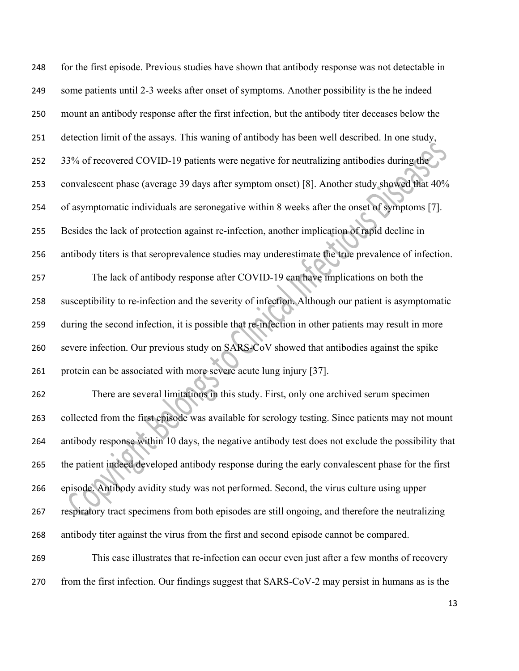| 248 | for the first episode. Previous studies have shown that antibody response was not detectable in    |
|-----|----------------------------------------------------------------------------------------------------|
| 249 | some patients until 2-3 weeks after onset of symptoms. Another possibility is the he indeed        |
| 250 | mount an antibody response after the first infection, but the antibody titer deceases below the    |
| 251 | detection limit of the assays. This waning of antibody has been well described. In one study,      |
| 252 | 33% of recovered COVID-19 patients were negative for neutralizing antibodies during the            |
| 253 | convalescent phase (average 39 days after symptom onset) [8]. Another study showed that 40%        |
| 254 | of asymptomatic individuals are seronegative within 8 weeks after the onset of symptoms [7].       |
| 255 | Besides the lack of protection against re-infection, another implication of rapid decline in       |
| 256 | antibody titers is that seroprevalence studies may underestimate the true prevalence of infection. |
| 257 | The lack of antibody response after COVID-19 can have implications on both the                     |
| 258 | susceptibility to re-infection and the severity of infection. Although our patient is asymptomatic |
| 259 | during the second infection, it is possible that re-infection in other patients may result in more |
| 260 | severe infection. Our previous study on SARS-CoV showed that antibodies against the spike          |
| 261 | protein can be associated with more severe acute lung injury [37].                                 |
| 262 | There are several limitations in this study. First, only one archived serum specimen               |
| 263 | collected from the first episode was available for serology testing. Since patients may not mount  |
| 264 | antibody response within 10 days, the negative antibody test does not exclude the possibility that |
| 265 | the patient indeed developed antibody response during the early convalescent phase for the first   |
| 266 | episode. Antibody avidity study was not performed. Second, the virus culture using upper           |
| 267 | respiratory tract specimens from both episodes are still ongoing, and therefore the neutralizing   |
| 268 | antibody titer against the virus from the first and second episode cannot be compared.             |
| 269 | This case illustrates that re-infection can occur even just after a few months of recovery         |
| 270 | from the first infection. Our findings suggest that SARS-CoV-2 may persist in humans as is the     |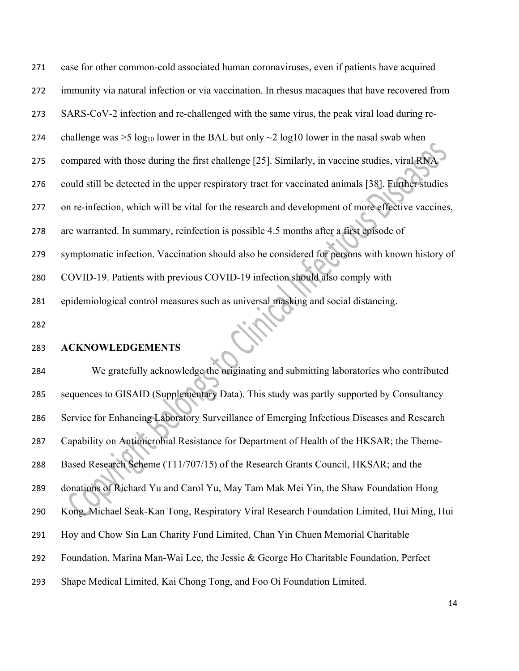| 271 | case for other common-cold associated human coronaviruses, even if patients have acquired                |
|-----|----------------------------------------------------------------------------------------------------------|
| 272 | immunity via natural infection or via vaccination. In rhesus macaques that have recovered from           |
| 273 | SARS-CoV-2 infection and re-challenged with the same virus, the peak viral load during re-               |
| 274 | challenge was >5 log <sub>10</sub> lower in the BAL but only $\sim$ 2 log10 lower in the nasal swab when |
| 275 | compared with those during the first challenge [25]. Similarly, in vaccine studies, viral RNA            |
| 276 | could still be detected in the upper respiratory tract for vaccinated animals [38]. Further studies      |
| 277 | on re-infection, which will be vital for the research and development of more effective vaccines,        |
| 278 | are warranted. In summary, reinfection is possible 4.5 months after a first episode of                   |
| 279 | symptomatic infection. Vaccination should also be considered for persons with known history of           |
| 280 | COVID-19. Patients with previous COVID-19 infection should also comply with                              |
| 281 | epidemiological control measures such as universal masking and social distancing.                        |
| 282 |                                                                                                          |

### **ACKNOWLEDGEMENTS**

 We gratefully acknowledge the originating and submitting laboratories who contributed sequences to GISAID (Supplementary Data). This study was partly supported by Consultancy Service for Enhancing Laboratory Surveillance of Emerging Infectious Diseases and Research Capability on Antimicrobial Resistance for Department of Health of the HKSAR; the Theme- Based Research Scheme (T11/707/15) of the Research Grants Council, HKSAR; and the donations of Richard Yu and Carol Yu, May Tam Mak Mei Yin, the Shaw Foundation Hong Kong, Michael Seak-Kan Tong, Respiratory Viral Research Foundation Limited, Hui Ming, Hui Hoy and Chow Sin Lan Charity Fund Limited, Chan Yin Chuen Memorial Charitable Foundation, Marina Man-Wai Lee, the Jessie & George Ho Charitable Foundation, Perfect Shape Medical Limited, Kai Chong Tong, and Foo Oi Foundation Limited.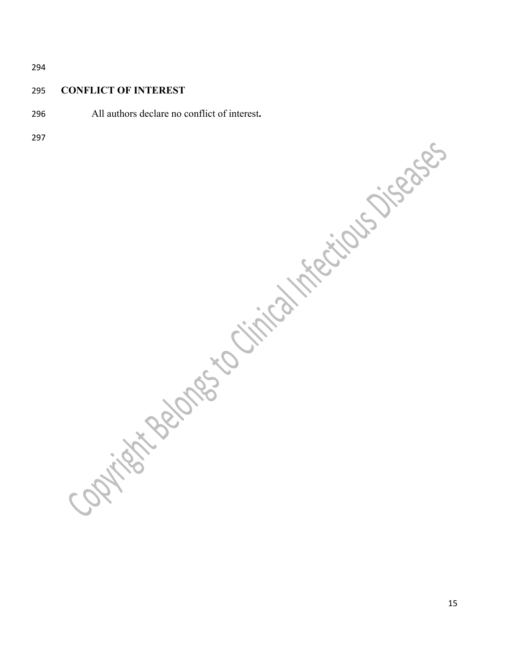### **CONFLICT OF INTEREST**

All authors declare no conflict of interest**.**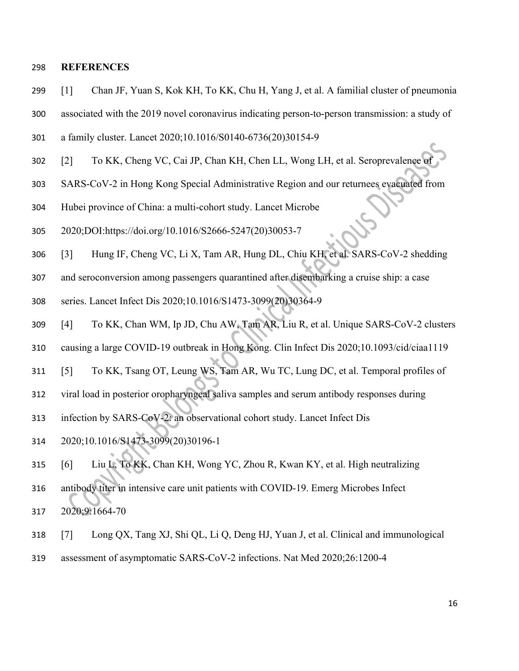#### **REFERENCES**

- [1] Chan JF, Yuan S, Kok KH, To KK, Chu H, Yang J, et al. A familial cluster of pneumonia
- associated with the 2019 novel coronavirus indicating person-to-person transmission: a study of
- a family cluster. Lancet 2020;10.1016/S0140-6736(20)30154-9
- [2] To KK, Cheng VC, Cai JP, Chan KH, Chen LL, Wong LH, et al. Seroprevalence of
- SARS-CoV-2 in Hong Kong Special Administrative Region and our returnees evacuated from
- Hubei province of China: a multi-cohort study. Lancet Microbe
- 2020;DOI:https://doi.org/10.1016/S2666-5247(20)30053-7
- [3] Hung IF, Cheng VC, Li X, Tam AR, Hung DL, Chiu KH, et al. SARS-CoV-2 shedding
- and seroconversion among passengers quarantined after disembarking a cruise ship: a case
- series. Lancet Infect Dis 2020;10.1016/S1473-3099(20)30364-9
- [4] To KK, Chan WM, Ip JD, Chu AW, Tam AR, Liu R, et al. Unique SARS-CoV-2 clusters
- causing a large COVID-19 outbreak in Hong Kong. Clin Infect Dis 2020;10.1093/cid/ciaa1119
- [5] To KK, Tsang OT, Leung WS, Tam AR, Wu TC, Lung DC, et al. Temporal profiles of
- viral load in posterior oropharyngeal saliva samples and serum antibody responses during
- infection by SARS-CoV-2: an observational cohort study. Lancet Infect Dis
- 2020;10.1016/S1473-3099(20)30196-1
- [6] Liu L, To KK, Chan KH, Wong YC, Zhou R, Kwan KY, et al. High neutralizing
- antibody titer in intensive care unit patients with COVID-19. Emerg Microbes Infect 2020;9:1664-70
- [7] Long QX, Tang XJ, Shi QL, Li Q, Deng HJ, Yuan J, et al. Clinical and immunological
- assessment of asymptomatic SARS-CoV-2 infections. Nat Med 2020;26:1200-4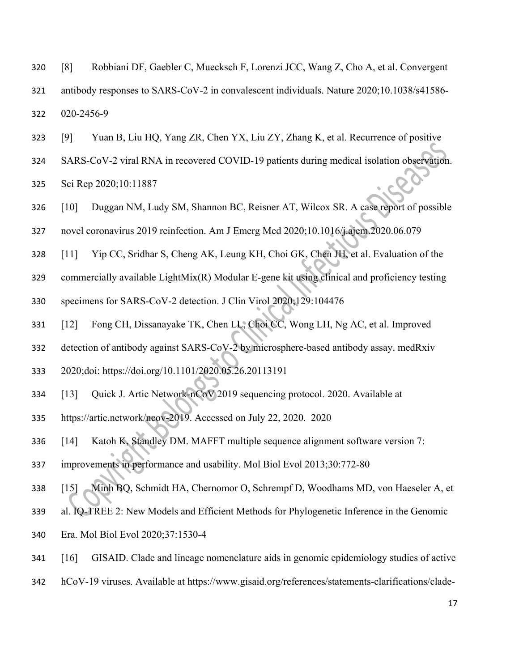[8] Robbiani DF, Gaebler C, Muecksch F, Lorenzi JCC, Wang Z, Cho A, et al. Convergent

 antibody responses to SARS-CoV-2 in convalescent individuals. Nature 2020;10.1038/s41586- 020-2456-9

- [9] Yuan B, Liu HQ, Yang ZR, Chen YX, Liu ZY, Zhang K, et al. Recurrence of positive
- SARS-CoV-2 viral RNA in recovered COVID-19 patients during medical isolation observation.

Sci Rep 2020;10:11887

- [10] Duggan NM, Ludy SM, Shannon BC, Reisner AT, Wilcox SR. A case report of possible
- novel coronavirus 2019 reinfection. Am J Emerg Med 2020;10.1016/j.ajem.2020.06.079
- [11] Yip CC, Sridhar S, Cheng AK, Leung KH, Choi GK, Chen JH, et al. Evaluation of the
- commercially available LightMix(R) Modular E-gene kit using clinical and proficiency testing
- specimens for SARS-CoV-2 detection. J Clin Virol 2020;129:104476
- [12] Fong CH, Dissanayake TK, Chen LL, Choi CC, Wong LH, Ng AC, et al. Improved
- detection of antibody against SARS-CoV-2 by microsphere-based antibody assay. medRxiv
- 2020;doi: https://doi.org/10.1101/2020.05.26.20113191
- [13] Quick J. Artic Network-nCoV 2019 sequencing protocol. 2020. Available at
- https://artic.network/ncov-2019. Accessed on July 22, 2020. 2020
- [14] Katoh K, Standley DM. MAFFT multiple sequence alignment software version 7:
- improvements in performance and usability. Mol Biol Evol 2013;30:772-80
- [15] Minh BQ, Schmidt HA, Chernomor O, Schrempf D, Woodhams MD, von Haeseler A, et
- al. IQ-TREE 2: New Models and Efficient Methods for Phylogenetic Inference in the Genomic
- Era. Mol Biol Evol 2020;37:1530-4
- [16] GISAID. Clade and lineage nomenclature aids in genomic epidemiology studies of active
- hCoV-19 viruses. Available at https://www.gisaid.org/references/statements-clarifications/clade-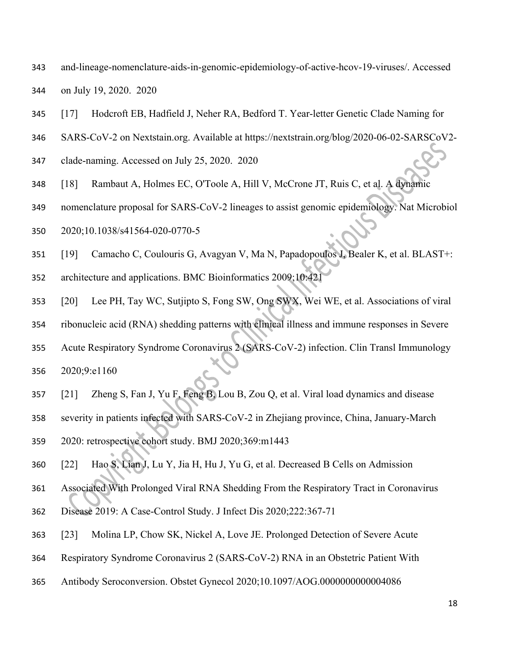- and-lineage-nomenclature-aids-in-genomic-epidemiology-of-active-hcov-19-viruses/. Accessed on July 19, 2020. 2020
- [17] Hodcroft EB, Hadfield J, Neher RA, Bedford T. Year-letter Genetic Clade Naming for
- SARS-CoV-2 on Nextstain.org. Available at https://nextstrain.org/blog/2020-06-02-SARSCoV2-
- clade-naming. Accessed on July 25, 2020. 2020
- [18] Rambaut A, Holmes EC, O'Toole A, Hill V, McCrone JT, Ruis C, et al. A dynamic
- nomenclature proposal for SARS-CoV-2 lineages to assist genomic epidemiology. Nat Microbiol
- 2020;10.1038/s41564-020-0770-5
- [19] Camacho C, Coulouris G, Avagyan V, Ma N, Papadopoulos J, Bealer K, et al. BLAST+:
- architecture and applications. BMC Bioinformatics 2009;10:421
- [20] Lee PH, Tay WC, Sutjipto S, Fong SW, Ong SWX, Wei WE, et al. Associations of viral
- ribonucleic acid (RNA) shedding patterns with clinical illness and immune responses in Severe
- Acute Respiratory Syndrome Coronavirus 2 (SARS-CoV-2) infection. Clin Transl Immunology 2020;9:e1160
- [21] Zheng S, Fan J, Yu F, Feng B, Lou B, Zou Q, et al. Viral load dynamics and disease
- severity in patients infected with SARS-CoV-2 in Zhejiang province, China, January-March
- 2020: retrospective cohort study. BMJ 2020;369:m1443
- [22] Hao S, Lian J, Lu Y, Jia H, Hu J, Yu G, et al. Decreased B Cells on Admission
- Associated With Prolonged Viral RNA Shedding From the Respiratory Tract in Coronavirus
- Disease 2019: A Case-Control Study. J Infect Dis 2020;222:367-71
- [23] Molina LP, Chow SK, Nickel A, Love JE. Prolonged Detection of Severe Acute
- Respiratory Syndrome Coronavirus 2 (SARS-CoV-2) RNA in an Obstetric Patient With
- Antibody Seroconversion. Obstet Gynecol 2020;10.1097/AOG.0000000000004086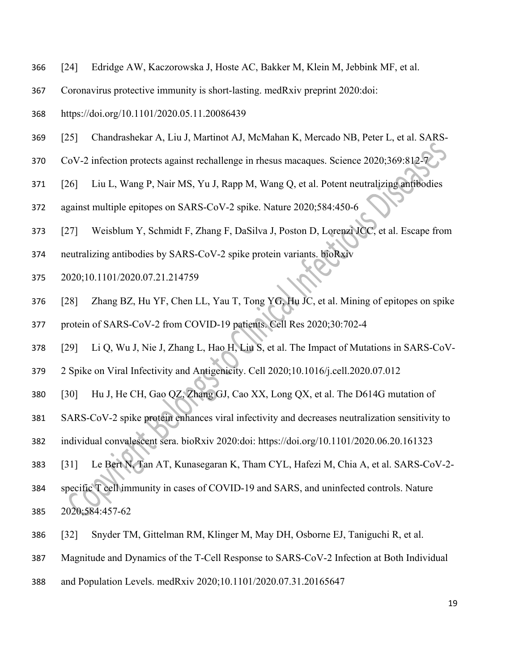- [24] Edridge AW, Kaczorowska J, Hoste AC, Bakker M, Klein M, Jebbink MF, et al.
- Coronavirus protective immunity is short-lasting. medRxiv preprint 2020:doi:
- https://doi.org/10.1101/2020.05.11.20086439
- [25] Chandrashekar A, Liu J, Martinot AJ, McMahan K, Mercado NB, Peter L, et al. SARS-
- 370 CoV-2 infection protects against rechallenge in rhesus macaques. Science 2020;369:812-7
- [26] Liu L, Wang P, Nair MS, Yu J, Rapp M, Wang Q, et al. Potent neutralizing antibodies
- against multiple epitopes on SARS-CoV-2 spike. Nature 2020;584:450-6
- [27] Weisblum Y, Schmidt F, Zhang F, DaSilva J, Poston D, Lorenzi JCC, et al. Escape from
- neutralizing antibodies by SARS-CoV-2 spike protein variants. bioRxiv
- 2020;10.1101/2020.07.21.214759
- [28] Zhang BZ, Hu YF, Chen LL, Yau T, Tong YG, Hu JC, et al. Mining of epitopes on spike
- protein of SARS-CoV-2 from COVID-19 patients. Cell Res 2020;30:702-4
- [29] Li Q, Wu J, Nie J, Zhang L, Hao H, Liu S, et al. The Impact of Mutations in SARS-CoV-
- 2 Spike on Viral Infectivity and Antigenicity. Cell 2020;10.1016/j.cell.2020.07.012
- [30] Hu J, He CH, Gao QZ, Zhang GJ, Cao XX, Long QX, et al. The D614G mutation of
- SARS-CoV-2 spike protein enhances viral infectivity and decreases neutralization sensitivity to
- individual convalescent sera. bioRxiv 2020:doi: https://doi.org/10.1101/2020.06.20.161323
- [31] Le Bert N, Tan AT, Kunasegaran K, Tham CYL, Hafezi M, Chia A, et al. SARS-CoV-2-
- specific T cell immunity in cases of COVID-19 and SARS, and uninfected controls. Nature 2020;584:457-62
- [32] Snyder TM, Gittelman RM, Klinger M, May DH, Osborne EJ, Taniguchi R, et al.
- Magnitude and Dynamics of the T-Cell Response to SARS-CoV-2 Infection at Both Individual
- and Population Levels. medRxiv 2020;10.1101/2020.07.31.20165647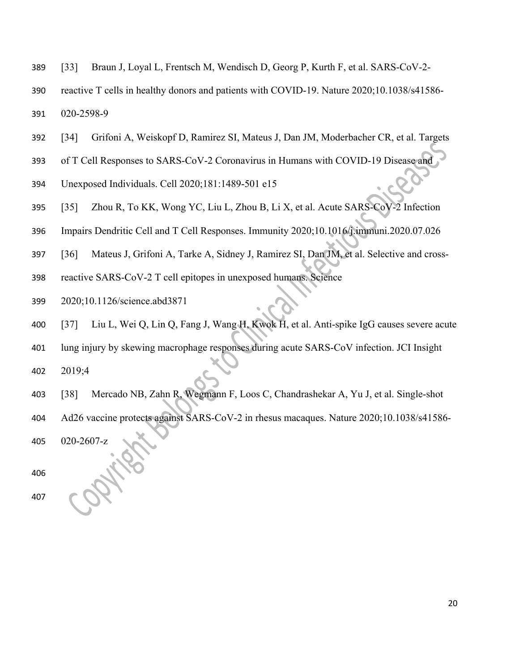- [33] Braun J, Loyal L, Frentsch M, Wendisch D, Georg P, Kurth F, et al. SARS-CoV-2-
- reactive T cells in healthy donors and patients with COVID-19. Nature 2020;10.1038/s41586- 020-2598-9
- [34] Grifoni A, Weiskopf D, Ramirez SI, Mateus J, Dan JM, Moderbacher CR, et al. Targets
- of T Cell Responses to SARS-CoV-2 Coronavirus in Humans with COVID-19 Disease and
- Unexposed Individuals. Cell 2020;181:1489-501 e15
- [35] Zhou R, To KK, Wong YC, Liu L, Zhou B, Li X, et al. Acute SARS-CoV-2 Infection
- Impairs Dendritic Cell and T Cell Responses. Immunity 2020;10.1016/j.immuni.2020.07.026
- [36] Mateus J, Grifoni A, Tarke A, Sidney J, Ramirez SI, Dan JM, et al. Selective and cross-
- reactive SARS-CoV-2 T cell epitopes in unexposed humans. Science
- 2020;10.1126/science.abd3871
- [37] Liu L, Wei Q, Lin Q, Fang J, Wang H, Kwok H, et al. Anti-spike IgG causes severe acute
- lung injury by skewing macrophage responses during acute SARS-CoV infection. JCI Insight
- 2019;4
- [38] Mercado NB, Zahn R, Wegmann F, Loos C, Chandrashekar A, Yu J, et al. Single-shot
- Ad26 vaccine protects against SARS-CoV-2 in rhesus macaques. Nature 2020;10.1038/s41586-
- 020-2607-z
- 
-